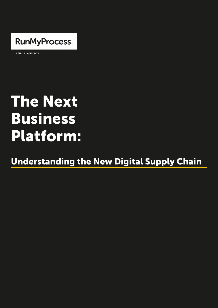

a Fujitsu company

# The Next Business Platform:

Understanding the New Digital Supply Chain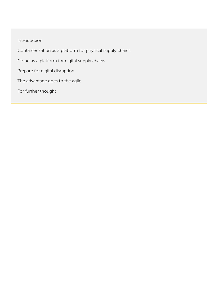Introduction Containerization as a platform for physical supply chains Cloud as a platform for digital supply chains Prepare for digital disruption The advantage goes to the agile For further thought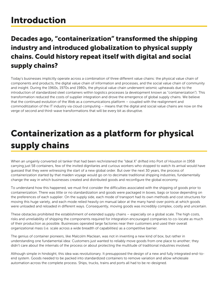# Introduction

#### Decades ago, "containerization" transformed the shipping industry and introduced globalization to physical supply chains. Could history repeat itself with digital and social supply chains?

Today's businesses implicitly operate across a combination of three different value chains: the physical value chain of components and products, the digital value chain of information and processes, and the social value chain of community and insight. During the 1960s, 1970s and 1980s, the physical value chain underwent seismic upheavals due to the introduction of standardized steel containers within logistics processes (a development known as "containerization"). This transformation reduced the costs of supplier integration and drove the emergence of global supply chains. We believe that the continued evolution of the Web as a communications platform – coupled with the realignment and commoditization of the IT industry via cloud computing – means that the digital and social value chains are now on the verge of second and third-wave transformations that will be every bit as disruptive.

# Containerization as a platform for physical supply chains

When an ungainly converted oil tanker that had been rechristened the "Ideal X" drifted into Port of Houston in 1958 carrying just 58 containers, few of the invited dignitaries and curious workers who stopped to watch its arrival would have guessed that they were witnessing the start of a new global order. But over the next 30 years, the process of containerization started by that maiden voyage would go on to decimate traditional shipping industries, fundamentally change the way in which businesses created and distributed goods and reconfigure the global economy.

To understand how this happened, we must first consider the difficulties associated with the shipping of goods prior to containerization. There was little or no standardization and goods were packaged in boxes, bags or loose depending on the preferences of each supplier. On the supply side, each mode of transport had its own methods and cost structures for moving this huge variety, and each mode relied heavily on manual labor at the many hand-over points at which goods were unloaded and reloaded in different ways. Consequently, moving goods was incredibly complex, costly and uncertain.

These obstacles prohibited the establishment of extended supply chains – especially on a global scale. The high costs, risks and unreliability of shipping the components required for integration encouraged companies to co-locate as much of their production as possible. Businesses operated large factories near their customers and used their overall organizational mass (i.e. scale across a wide breadth of capabilities) as a competitive barrier.

The genius of container pioneers, like Malcolm Maclean, was not in inventing a new kind of box, but rather in understanding one fundamental idea: Customers just wanted to reliably move goods from one place to another; they didn't care about the internals of the process or about protecting the multitude of traditional industries involved.

Although simple in hindsight, this idea was revolutionary. It presupposed the design of a new and fully integrated end-toend system. Goods needed to be packed into standardized containers to remove variation and allow wholesale automation across the complete process. Ships, trucks, trains and ports all had to be re-designed.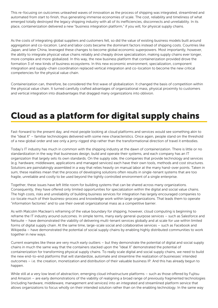This re-focusing on outcomes unleashed waves of innovation as the process of shipping was integrated, streamlined and automated from start to finish, thus generating immense economies of scale. The cost, reliability and timeliness of what emerged totally destroyed the legacy shipping industry with all of its inefficiencies, disconnects and unreliability. In its place, containerization delivered a new "business integration platform," if you will, for physical supply chains.

As the costs of integrating global suppliers and customers fell, so did the value of existing business models built around aggregation and co-location. Land and labor costs became the dominant factors instead of shipping costs. Countries like Japan, and later China, leveraged these changes to become global economic superpowers. Most importantly, however, the ability to integrate physical value chains reliably and cheaply drove specialization, making supply chains ever longer, more complex and more globalized. In this way, the new business platform that containerization provided drove the formation 3 of new kinds of business ecosystems. In this new economic environment, specialization, component integration and supply-chain coordination replaced vertical integration and co-location to become the new critical competencies for the physical value chain.

Containerization can, therefore, be considered the first wave of globalization. It changed the basis of competition within the physical value chain. It turned carefully crafted advantages of organizational mass, physical proximity to customers and vertical integration into disadvantages that dragged many organizations into oblivion.

# Cloud as a platform for digital supply chains

Fast-forward to the present day, and most people looking at cloud platforms and services would see something akin to the "Ideal X" – familiar technologies delivered with some new characteristics. Once again, people stand on the threshold of a new global order and see only a jerry-rigged ship rather than the transformational direction of travel it embodies.

Today's IT industry has much in common with the shipping industry at the dawn of containerization. There is little or no standardization in the way that businesses design, build and operate their systems, and each company has an IT organization that largely sets its own standards. On the supply side, the companies that provide technology and services (e.g. hardware, middleware, applications and managed services) each have their own tools, methods and cost structures. Solutions are painstakingly assembled in a way that relies heavily on manual labor at the many hand-over points. Taken in sum, these realities mean that the process of developing solutions often results in single-tenant systems that are too fragile, unreliable and costly to be used beyond the tightly controlled environment of a single enterprise.

Together, these issues have left little room for building systems that can be shared across many organizations. Consequently, they have offered only limited opportunities for specialization within the digital and social value chains. The high costs, risks and unreliability of building business services for integration has largely encouraged companies to co-locate much of their business-process and knowledge work within large organizations. That leads them to operate "information factories" and to use their overall organizational mass as a competitive barrier.

As with Malcolm Maclean's reframing of the value boundary for shipping, however, cloud computing is beginning to reframe the IT industry around outcomes. In simple terms, many early general-purpose services – such as Salesforce and Netsuite – have demonstrated the viability of delivering multi-tenant services globally and at scale for use within limited forms of digital supply chain. At the same time, large-scale social and collaborative services – such as Facebook and Wikipedia – have demonstrated the potential of social supply chains by enabling highly distributed communities to work together in new ways.

Current examples like these are very much early outliers – but they demonstrate the potential of digital and social supply chains in much the same way that the containers stacked upon the "Ideal X" demonstrated the potential of containerization for transforming physical supply chains. To really scale digital and social supply chains, we need to build the new end-to-end platforms that will standardize, automate and streamline the realization of businesses' intended outcomes – i.e. the creation, monetization and distribution of their valuable business IP. And this has already begun to happen.

While still at a very low level of abstraction, emerging cloud infrastructure platforms – such as those offered by Fujitsu and Amazon – are early demonstrations of the viability of realigning a broad range of previously fragmented technologies (including hardware, middleware, management and services) into an integrated and streamlined platform service that allows organizations to focus wholly on their intended solution rather than on the enabling technology. In the same way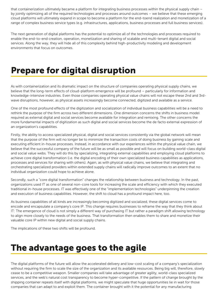that containerization ultimately became a platform for integrating business processes within the physical supply chain – by jointly optimizing all of the required technologies and processes around outcomes – we believe that these emerging cloud platforms will ultimately expand in scope to become a platform for the end-toend realization and monetization of a range of complex business service types (e.g. infrastructures, applications, business processes and full business services).

The next generation of digital platforms has the potential to optimize all of the technologies and processes required to enable the end-to-end creation, operation, monetization and sharing of scalable and multi-tenant digital and social services. Along the way, they will hide all of this complexity behind high-productivity modeling and development environments that focus on outcomes.

# Prepare for digital disruption

As with containerization and its dramatic impact on the structure of companies operating physical supply chains, we believe that the long-term effects of cloud-platform emergence will be profound – particularly for information and knowledge-intensive industries. Even those companies operating physical value chains will not escape these 2nd and 3rdwave disruptions, however, as physical assets increasingly become connected, digitized and available as a service.

One of the most profound effects of the digitization and socialization of individual business capabilities will be a need to rethink the purpose of the firm across two different dimensions. One dimension concerns the shifts in business model required as external digital and social services become available for integration and remixing. The other concerns the more fundamental impacts of digitization as such digital and social services become the de facto external expression of an organization's capabilities.

Firstly, the ability to access specialized physical, digital and social services consistently via the global network will mean that the purpose of the firm will no longer be to minimize the transaction costs of doing business by gaining scale and executing efficient in-house processes. Instead, in accordance with our experiences within the physical value chain, we believe that the successful company of the future will be as small as possible and will focus on building world-class digital and social value webs. They will do this by specializing, integrating external capabilities and employing cloud platforms to achieve core digital transformation (i.e. the digital encoding of their own specialized business capabilities as applications, processes and services for sharing with others). Again, as with physical value chains, we believe that integrating and orchestrating specialized providers within extended supply chains will radically improve outcomes to an extent that no individual organization could hope to achieve alone.

Secondly, such a "core digital transformation" changes the relationship between business and technology. In the past, organizations used IT as one of several non-core tools for increasing the scale and efficiency with which they executed traditional in-house processes. IT was effectively one of the "implementation technologies" underpinning the creation and execution of business capabilities. However, the shift to cloud has a profound impact here, too.

As business capabilities of all kinds are increasingly becoming digitized and socialized, these digital services come to encode and encapsulate a company's core IP. This change requires businesses to reframe the way that they think about IT: The emergence of cloud is not simply a different way of purchasing IT but rather a paradigm shift allowing technology to align more closely to the needs of the business. That transformation then enables them to share and monetize their valuable core IP within new digital and social supply chains.

The implications of these two shifts will be profound.

#### The advantage goes to the agile

The digital platforms of the future will allow the accelerated delivery and low-cost scaling of a company's specialization without requiring the firm to scale the size of the organization and its available resources. Being big will, therefore, slowly cease to be a competitive weapon. Smaller companies will take advantage of greater agility, world-class specialized services, and the web's natural cost transparency to become hyper-competitive. If the pattern of change brought by the shipping container repeats itself with digital platforms, we might speculate that huge opportunities lie in wait for those companies that can adapt to and exploit them. The container brought with it the potential for any manufacturing